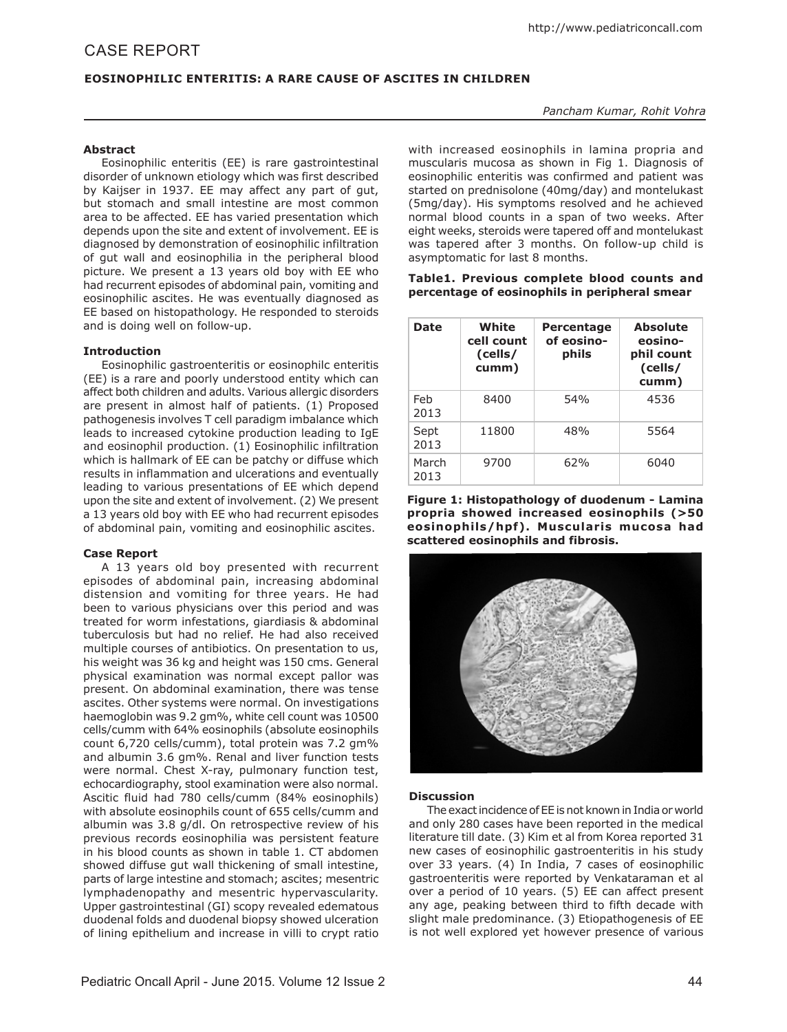# CasE report

# **Eosinophilic Enteritis: A Rare Cause of Ascites in Children**

# *Pancham Kumar, Rohit Vohra*

## **Abstract**

Eosinophilic enteritis (EE) is rare gastrointestinal disorder of unknown etiology which was first described by Kaijser in 1937. EE may affect any part of gut, but stomach and small intestine are most common area to be affected. EE has varied presentation which depends upon the site and extent of involvement. EE is diagnosed by demonstration of eosinophilic infiltration of gut wall and eosinophilia in the peripheral blood picture. We present a 13 years old boy with EE who had recurrent episodes of abdominal pain, vomiting and eosinophilic ascites. He was eventually diagnosed as EE based on histopathology. He responded to steroids and is doing well on follow-up.

# **Introduction**

Eosinophilic gastroenteritis or eosinophilc enteritis (EE) is a rare and poorly understood entity which can affect both children and adults. Various allergic disorders are present in almost half of patients. (1) Proposed pathogenesis involves T cell paradigm imbalance which leads to increased cytokine production leading to IgE and eosinophil production. (1) Eosinophilic infiltration which is hallmark of EE can be patchy or diffuse which results in inflammation and ulcerations and eventually leading to various presentations of EE which depend upon the site and extent of involvement. (2) We present a 13 years old boy with EE who had recurrent episodes of abdominal pain, vomiting and eosinophilic ascites.

# **Case Report**

A 13 years old boy presented with recurrent episodes of abdominal pain, increasing abdominal distension and vomiting for three years. He had been to various physicians over this period and was treated for worm infestations, giardiasis & abdominal tuberculosis but had no relief. He had also received multiple courses of antibiotics. On presentation to us, his weight was 36 kg and height was 150 cms. General physical examination was normal except pallor was present. On abdominal examination, there was tense ascites. Other systems were normal. On investigations haemoglobin was 9.2 gm%, white cell count was 10500 cells/cumm with 64% eosinophils (absolute eosinophils count 6,720 cells/cumm), total protein was 7.2 am% and albumin 3.6 gm%. Renal and liver function tests were normal. Chest X-ray, pulmonary function test, echocardiography, stool examination were also normal. Ascitic fluid had 780 cells/cumm (84% eosinophils) with absolute eosinophils count of 655 cells/cumm and albumin was 3.8 g/dl. On retrospective review of his previous records eosinophilia was persistent feature in his blood counts as shown in table 1. CT abdomen showed diffuse gut wall thickening of small intestine, parts of large intestine and stomach; ascites; mesentric lymphadenopathy and mesentric hypervascularity. Upper gastrointestinal (GI) scopy revealed edematous duodenal folds and duodenal biopsy showed ulceration of lining epithelium and increase in villi to crypt ratio with increased eosinophils in lamina propria and muscularis mucosa as shown in Fig 1. Diagnosis of eosinophilic enteritis was confirmed and patient was started on prednisolone (40mg/day) and montelukast (5mg/day). His symptoms resolved and he achieved normal blood counts in a span of two weeks. After eight weeks, steroids were tapered off and montelukast was tapered after 3 months. On follow-up child is asymptomatic for last 8 months.

## **Table1. Previous complete blood counts and percentage of eosinophils in peripheral smear**

| <b>Date</b>   | White<br>cell count<br>(cells/<br>cumm) | <b>Percentage</b><br>of eosino-<br>phils | <b>Absolute</b><br>eosino-<br>phil count<br>(cells/<br>cumm) |
|---------------|-----------------------------------------|------------------------------------------|--------------------------------------------------------------|
| Feb<br>2013   | 8400                                    | 54%                                      | 4536                                                         |
| Sept<br>2013  | 11800                                   | 48%                                      | 5564                                                         |
| March<br>2013 | 9700                                    | 62%                                      | 6040                                                         |

**Figure 1: Histopathology of duodenum - Lamina propria showed increased eosinophils (>50**  eosinophils/hpf). Muscularis mucosa had **scattered eosinophils and fibrosis.**



# **Discussion**

The exact incidence of EE is not known in India or world and only 280 cases have been reported in the medical literature till date. (3) Kim et al from Korea reported 31 new cases of eosinophilic gastroenteritis in his study over 33 years. (4) In India, 7 cases of eosinophilic gastroenteritis were reported by Venkataraman et al over a period of 10 years. (5) EE can affect present any age, peaking between third to fifth decade with slight male predominance. (3) Etiopathogenesis of EE is not well explored yet however presence of various